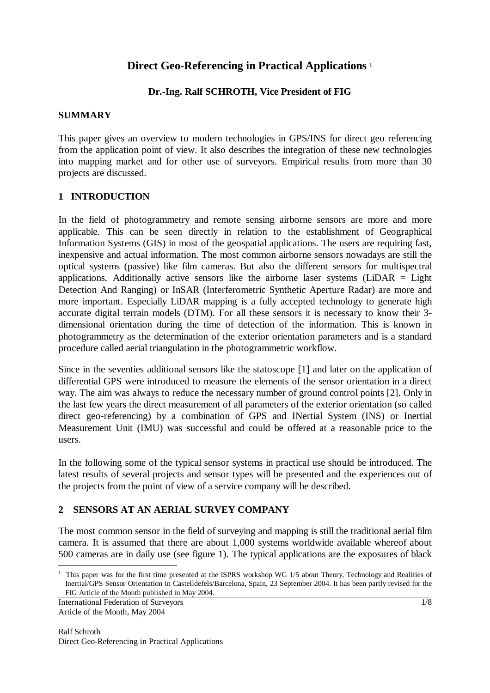# **Direct Geo-Referencing in Practical Applications 1**

## **Dr.-Ing. Ralf SCHROTH, Vice President of FIG**

#### **SUMMARY**

This paper gives an overview to modern technologies in GPS/INS for direct geo referencing from the application point of view. It also describes the integration of these new technologies into mapping market and for other use of surveyors. Empirical results from more than 30 projects are discussed.

## **1 INTRODUCTION**

In the field of photogrammetry and remote sensing airborne sensors are more and more applicable. This can be seen directly in relation to the establishment of Geographical Information Systems (GIS) in most of the geospatial applications. The users are requiring fast, inexpensive and actual information. The most common airborne sensors nowadays are still the optical systems (passive) like film cameras. But also the different sensors for multispectral applications. Additionally active sensors like the airborne laser systems ( $LiDAR = Light$ Detection And Ranging) or InSAR (Interferometric Synthetic Aperture Radar) are more and more important. Especially LiDAR mapping is a fully accepted technology to generate high accurate digital terrain models (DTM). For all these sensors it is necessary to know their 3 dimensional orientation during the time of detection of the information. This is known in photogrammetry as the determination of the exterior orientation parameters and is a standard procedure called aerial triangulation in the photogrammetric workflow.

Since in the seventies additional sensors like the statoscope [1] and later on the application of differential GPS were introduced to measure the elements of the sensor orientation in a direct way. The aim was always to reduce the necessary number of ground control points [2]. Only in the last few years the direct measurement of all parameters of the exterior orientation (so called direct geo-referencing) by a combination of GPS and INertial System (INS) or Inertial Measurement Unit (IMU) was successful and could be offered at a reasonable price to the users.

In the following some of the typical sensor systems in practical use should be introduced. The latest results of several projects and sensor types will be presented and the experiences out of the projects from the point of view of a service company will be described.

# **2 SENSORS AT AN AERIAL SURVEY COMPANY**

The most common sensor in the field of surveying and mapping is still the traditional aerial film camera. It is assumed that there are about 1,000 systems worldwide available whereof about 500 cameras are in daily use (see figure 1). The typical applications are the exposures of black

International Federation of Surveyors Article of the Month, May 2004

 $\overline{a}$ 

<sup>&</sup>lt;sup>1</sup> This paper was for the first time presented at the ISPRS workshop WG 1/5 about Theory, Technology and Realities of Inertial/GPS Sensor Orientation in Castelldefels/Barcelona, Spain, 23 September 2004. It has been partly revised for the FIG Article of the Month published in May 2004.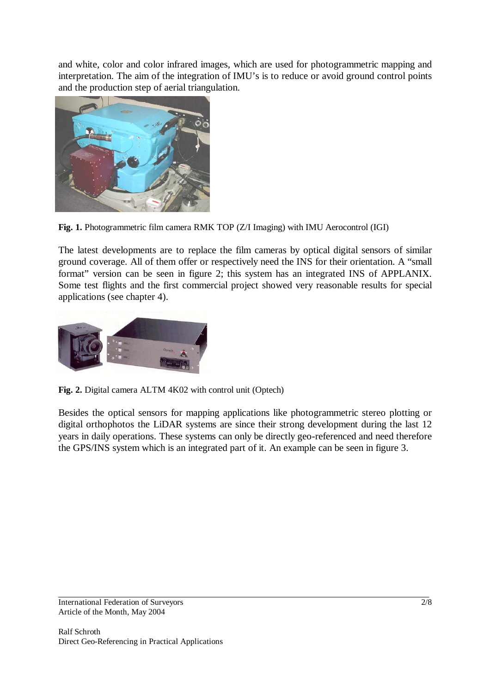and white, color and color infrared images, which are used for photogrammetric mapping and interpretation. The aim of the integration of IMU's is to reduce or avoid ground control points and the production step of aerial triangulation.



**Fig. 1.** Photogrammetric film camera RMK TOP (Z/I Imaging) with IMU Aerocontrol (IGI)

The latest developments are to replace the film cameras by optical digital sensors of similar ground coverage. All of them offer or respectively need the INS for their orientation. A "small format" version can be seen in figure 2; this system has an integrated INS of APPLANIX. Some test flights and the first commercial project showed very reasonable results for special applications (see chapter 4).



**Fig. 2.** Digital camera ALTM 4K02 with control unit (Optech)

Besides the optical sensors for mapping applications like photogrammetric stereo plotting or digital orthophotos the LiDAR systems are since their strong development during the last 12 years in daily operations. These systems can only be directly geo-referenced and need therefore the GPS/INS system which is an integrated part of it. An example can be seen in figure 3.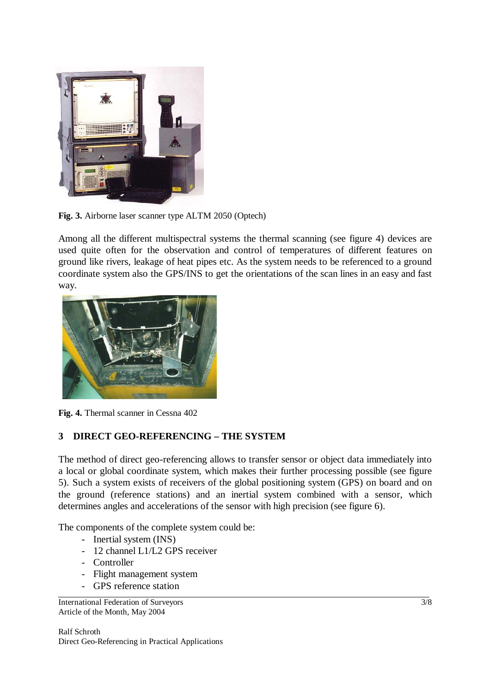

**Fig. 3.** Airborne laser scanner type ALTM 2050 (Optech)

Among all the different multispectral systems the thermal scanning (see figure 4) devices are used quite often for the observation and control of temperatures of different features on ground like rivers, leakage of heat pipes etc. As the system needs to be referenced to a ground coordinate system also the GPS/INS to get the orientations of the scan lines in an easy and fast way.



**Fig. 4.** Thermal scanner in Cessna 402

# **3 DIRECT GEO-REFERENCING – THE SYSTEM**

The method of direct geo-referencing allows to transfer sensor or object data immediately into a local or global coordinate system, which makes their further processing possible (see figure 5). Such a system exists of receivers of the global positioning system (GPS) on board and on the ground (reference stations) and an inertial system combined with a sensor, which determines angles and accelerations of the sensor with high precision (see figure 6).

The components of the complete system could be:

- Inertial system (INS)
- 12 channel L1/L2 GPS receiver
- Controller
- Flight management system
- GPS reference station

International Federation of Surveyors Article of the Month, May 2004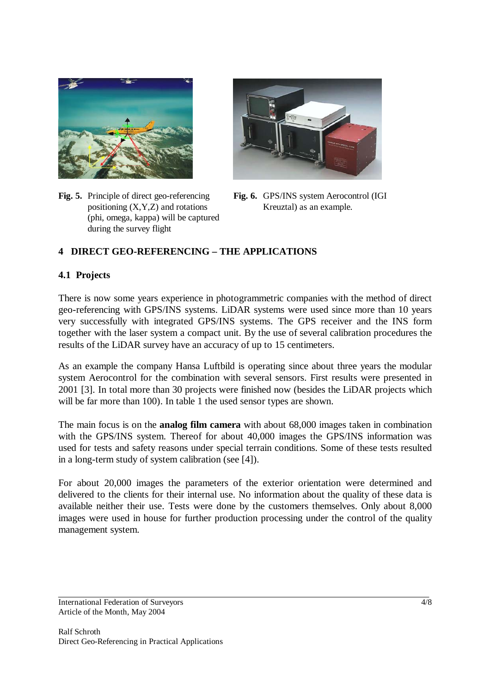

**Fig. 5.** Principle of direct geo-referencing **Fig. 6.** GPS/INS system Aerocontrol (IGI positioning  $(X, Y, Z)$  and rotations Kreuztal) as an example. (phi, omega, kappa) will be captured during the survey flight



## **4 DIRECT GEO-REFERENCING – THE APPLICATIONS**

#### **4.1 Projects**

There is now some years experience in photogrammetric companies with the method of direct geo-referencing with GPS/INS systems. LiDAR systems were used since more than 10 years very successfully with integrated GPS/INS systems. The GPS receiver and the INS form together with the laser system a compact unit. By the use of several calibration procedures the results of the LiDAR survey have an accuracy of up to 15 centimeters.

As an example the company Hansa Luftbild is operating since about three years the modular system Aerocontrol for the combination with several sensors. First results were presented in 2001 [3]. In total more than 30 projects were finished now (besides the LiDAR projects which will be far more than 100). In table 1 the used sensor types are shown.

The main focus is on the **analog film camera** with about 68,000 images taken in combination with the GPS/INS system. Thereof for about 40,000 images the GPS/INS information was used for tests and safety reasons under special terrain conditions. Some of these tests resulted in a long-term study of system calibration (see [4]).

For about 20,000 images the parameters of the exterior orientation were determined and delivered to the clients for their internal use. No information about the quality of these data is available neither their use. Tests were done by the customers themselves. Only about 8,000 images were used in house for further production processing under the control of the quality management system.

International Federation of Surveyors Article of the Month, May 2004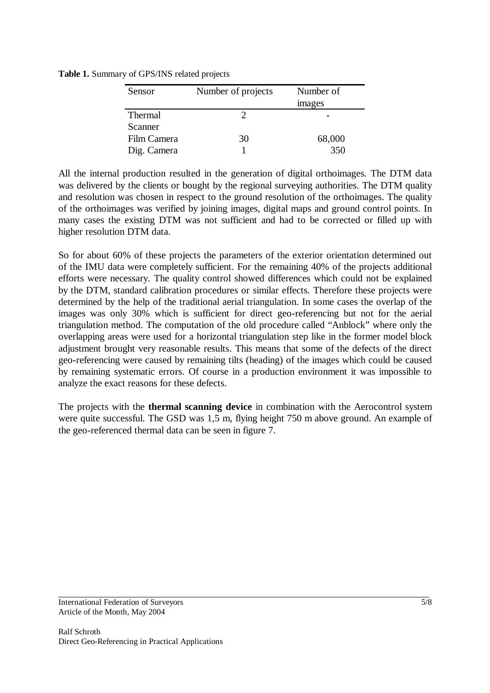| Sensor      | Number of projects | Number of<br>images |
|-------------|--------------------|---------------------|
| Thermal     |                    |                     |
| Scanner     |                    |                     |
| Film Camera | 30                 | 68,000              |
| Dig. Camera |                    | 350                 |

**Table 1.** Summary of GPS/INS related projects

All the internal production resulted in the generation of digital orthoimages. The DTM data was delivered by the clients or bought by the regional surveying authorities. The DTM quality and resolution was chosen in respect to the ground resolution of the orthoimages. The quality of the orthoimages was verified by joining images, digital maps and ground control points. In many cases the existing DTM was not sufficient and had to be corrected or filled up with higher resolution DTM data.

So for about 60% of these projects the parameters of the exterior orientation determined out of the IMU data were completely sufficient. For the remaining 40% of the projects additional efforts were necessary. The quality control showed differences which could not be explained by the DTM, standard calibration procedures or similar effects. Therefore these projects were determined by the help of the traditional aerial triangulation. In some cases the overlap of the images was only 30% which is sufficient for direct geo-referencing but not for the aerial triangulation method. The computation of the old procedure called "Anblock" where only the overlapping areas were used for a horizontal triangulation step like in the former model block adjustment brought very reasonable results. This means that some of the defects of the direct geo-referencing were caused by remaining tilts (heading) of the images which could be caused by remaining systematic errors. Of course in a production environment it was impossible to analyze the exact reasons for these defects.

The projects with the **thermal scanning device** in combination with the Aerocontrol system were quite successful. The GSD was 1,5 m, flying height 750 m above ground. An example of the geo-referenced thermal data can be seen in figure 7.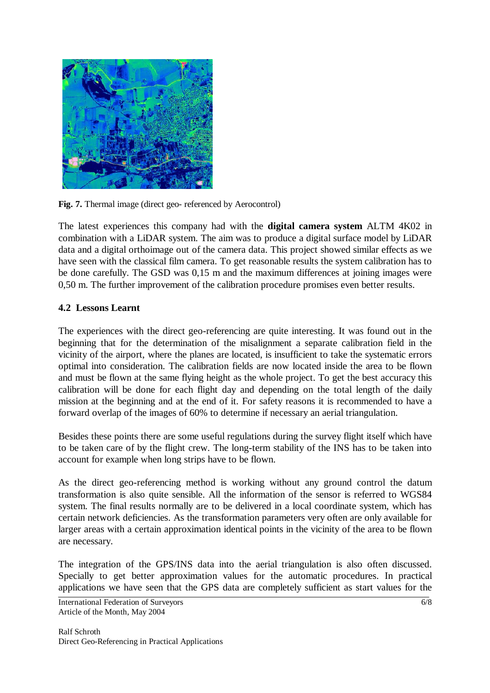

**Fig. 7.** Thermal image (direct geo- referenced by Aerocontrol)

The latest experiences this company had with the **digital camera system** ALTM 4K02 in combination with a LiDAR system. The aim was to produce a digital surface model by LiDAR data and a digital orthoimage out of the camera data. This project showed similar effects as we have seen with the classical film camera. To get reasonable results the system calibration has to be done carefully. The GSD was 0,15 m and the maximum differences at joining images were 0,50 m. The further improvement of the calibration procedure promises even better results.

#### **4.2 Lessons Learnt**

The experiences with the direct geo-referencing are quite interesting. It was found out in the beginning that for the determination of the misalignment a separate calibration field in the vicinity of the airport, where the planes are located, is insufficient to take the systematic errors optimal into consideration. The calibration fields are now located inside the area to be flown and must be flown at the same flying height as the whole project. To get the best accuracy this calibration will be done for each flight day and depending on the total length of the daily mission at the beginning and at the end of it. For safety reasons it is recommended to have a forward overlap of the images of 60% to determine if necessary an aerial triangulation.

Besides these points there are some useful regulations during the survey flight itself which have to be taken care of by the flight crew. The long-term stability of the INS has to be taken into account for example when long strips have to be flown.

As the direct geo-referencing method is working without any ground control the datum transformation is also quite sensible. All the information of the sensor is referred to WGS84 system. The final results normally are to be delivered in a local coordinate system, which has certain network deficiencies. As the transformation parameters very often are only available for larger areas with a certain approximation identical points in the vicinity of the area to be flown are necessary.

The integration of the GPS/INS data into the aerial triangulation is also often discussed. Specially to get better approximation values for the automatic procedures. In practical applications we have seen that the GPS data are completely sufficient as start values for the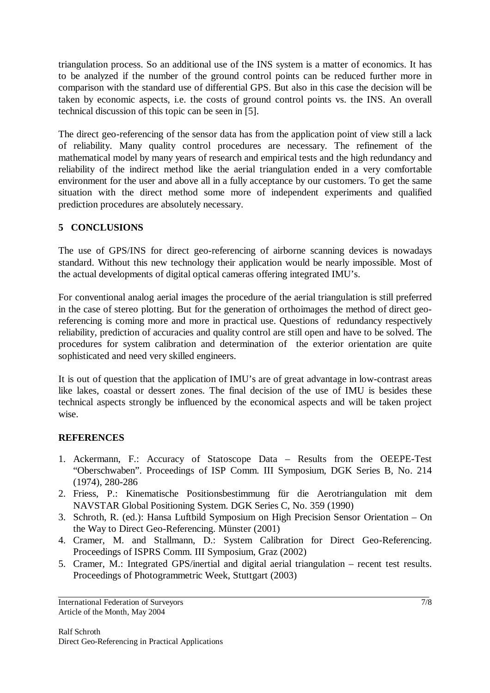triangulation process. So an additional use of the INS system is a matter of economics. It has to be analyzed if the number of the ground control points can be reduced further more in comparison with the standard use of differential GPS. But also in this case the decision will be taken by economic aspects, i.e. the costs of ground control points vs. the INS. An overall technical discussion of this topic can be seen in [5].

The direct geo-referencing of the sensor data has from the application point of view still a lack of reliability. Many quality control procedures are necessary. The refinement of the mathematical model by many years of research and empirical tests and the high redundancy and reliability of the indirect method like the aerial triangulation ended in a very comfortable environment for the user and above all in a fully acceptance by our customers. To get the same situation with the direct method some more of independent experiments and qualified prediction procedures are absolutely necessary.

## **5 CONCLUSIONS**

The use of GPS/INS for direct geo-referencing of airborne scanning devices is nowadays standard. Without this new technology their application would be nearly impossible. Most of the actual developments of digital optical cameras offering integrated IMU's.

For conventional analog aerial images the procedure of the aerial triangulation is still preferred in the case of stereo plotting. But for the generation of orthoimages the method of direct georeferencing is coming more and more in practical use. Questions of redundancy respectively reliability, prediction of accuracies and quality control are still open and have to be solved. The procedures for system calibration and determination of the exterior orientation are quite sophisticated and need very skilled engineers.

It is out of question that the application of IMU's are of great advantage in low-contrast areas like lakes, coastal or dessert zones. The final decision of the use of IMU is besides these technical aspects strongly be influenced by the economical aspects and will be taken project wise.

#### **REFERENCES**

- 1. Ackermann, F.: Accuracy of Statoscope Data Results from the OEEPE-Test "Oberschwaben". Proceedings of ISP Comm. III Symposium, DGK Series B, No. 214 (1974), 280-286
- 2. Friess, P.: Kinematische Positionsbestimmung für die Aerotriangulation mit dem NAVSTAR Global Positioning System. DGK Series C, No. 359 (1990)
- 3. Schroth, R. (ed.): Hansa Luftbild Symposium on High Precision Sensor Orientation On the Way to Direct Geo-Referencing. Münster (2001)
- 4. Cramer, M. and Stallmann, D.: System Calibration for Direct Geo-Referencing. Proceedings of ISPRS Comm. III Symposium, Graz (2002)
- 5. Cramer, M.: Integrated GPS/inertial and digital aerial triangulation recent test results. Proceedings of Photogrammetric Week, Stuttgart (2003)

International Federation of Surveyors Article of the Month, May 2004